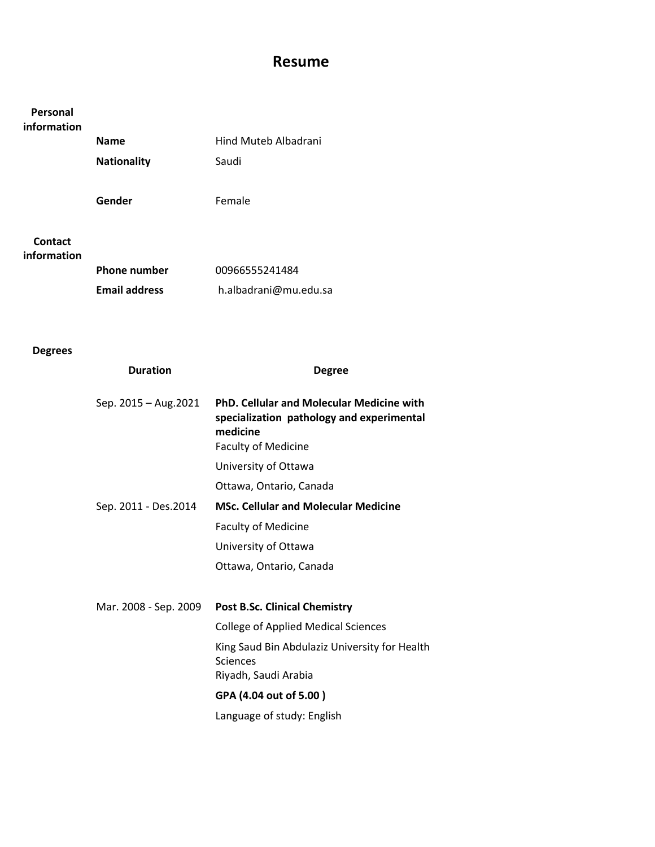## Resume

# Personal information Name Hind Muteb Albadrani Nationality **Saudi** Gender Female Contact information Phone number 00966555241484

| <b>Phone number</b>  | 00966555241484        |
|----------------------|-----------------------|
| <b>Email address</b> | h.albadrani@mu.edu.sa |

### Degrees

| <b>Duration</b>       | <b>Degree</b>                                                                                                                           |
|-----------------------|-----------------------------------------------------------------------------------------------------------------------------------------|
| Sep. 2015 - Aug. 2021 | <b>PhD. Cellular and Molecular Medicine with</b><br>specialization pathology and experimental<br>medicine<br><b>Faculty of Medicine</b> |
|                       | University of Ottawa                                                                                                                    |
|                       | Ottawa, Ontario, Canada                                                                                                                 |
| Sep. 2011 - Des.2014  | <b>MSc. Cellular and Molecular Medicine</b>                                                                                             |
|                       | <b>Faculty of Medicine</b>                                                                                                              |
|                       | University of Ottawa                                                                                                                    |
|                       | Ottawa, Ontario, Canada                                                                                                                 |
|                       |                                                                                                                                         |
| Mar. 2008 - Sep. 2009 | <b>Post B.Sc. Clinical Chemistry</b>                                                                                                    |
|                       | <b>College of Applied Medical Sciences</b>                                                                                              |
|                       | King Saud Bin Abdulaziz University for Health<br>Sciences                                                                               |
|                       | Riyadh, Saudi Arabia                                                                                                                    |
|                       | GPA (4.04 out of 5.00)                                                                                                                  |
|                       | Language of study: English                                                                                                              |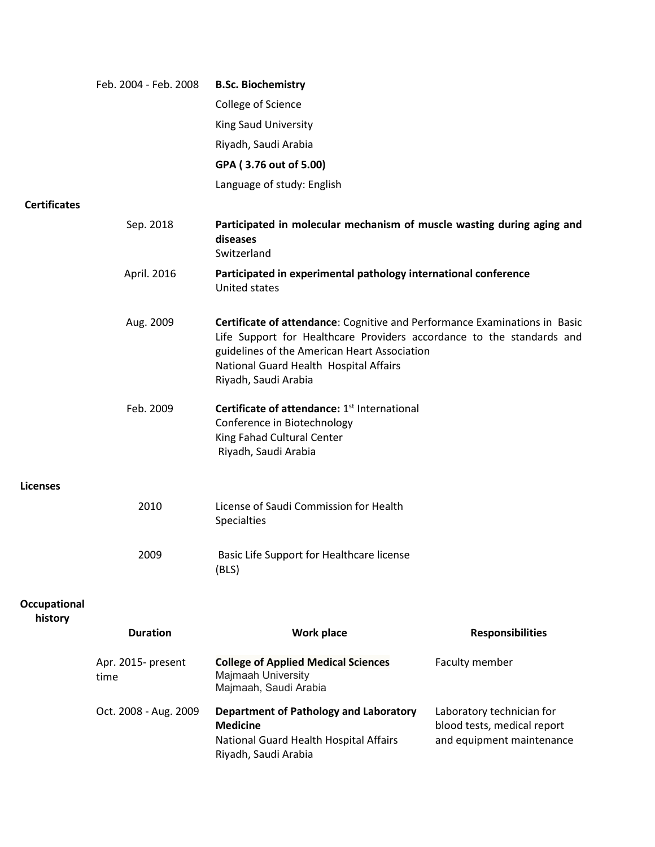|                         | Feb. 2004 - Feb. 2008      | <b>B.Sc. Biochemistry</b>                                                                                                                                                                                                                                             |                                                                                       |
|-------------------------|----------------------------|-----------------------------------------------------------------------------------------------------------------------------------------------------------------------------------------------------------------------------------------------------------------------|---------------------------------------------------------------------------------------|
|                         |                            | College of Science                                                                                                                                                                                                                                                    |                                                                                       |
|                         |                            | King Saud University                                                                                                                                                                                                                                                  |                                                                                       |
|                         |                            | Riyadh, Saudi Arabia                                                                                                                                                                                                                                                  |                                                                                       |
|                         |                            | GPA (3.76 out of 5.00)                                                                                                                                                                                                                                                |                                                                                       |
|                         |                            | Language of study: English                                                                                                                                                                                                                                            |                                                                                       |
| <b>Certificates</b>     |                            |                                                                                                                                                                                                                                                                       |                                                                                       |
|                         | Sep. 2018                  | Participated in molecular mechanism of muscle wasting during aging and<br>diseases<br>Switzerland                                                                                                                                                                     |                                                                                       |
|                         | April. 2016                | Participated in experimental pathology international conference<br>United states                                                                                                                                                                                      |                                                                                       |
|                         | Aug. 2009                  | Certificate of attendance: Cognitive and Performance Examinations in Basic<br>Life Support for Healthcare Providers accordance to the standards and<br>guidelines of the American Heart Association<br>National Guard Health Hospital Affairs<br>Riyadh, Saudi Arabia |                                                                                       |
|                         | Feb. 2009                  | Certificate of attendance: 1 <sup>st</sup> International<br>Conference in Biotechnology<br>King Fahad Cultural Center<br>Riyadh, Saudi Arabia                                                                                                                         |                                                                                       |
| <b>Licenses</b>         |                            |                                                                                                                                                                                                                                                                       |                                                                                       |
|                         | 2010                       | License of Saudi Commission for Health<br>Specialties                                                                                                                                                                                                                 |                                                                                       |
|                         | 2009                       | Basic Life Support for Healthcare license<br>(BLS)                                                                                                                                                                                                                    |                                                                                       |
| Occupational<br>history |                            |                                                                                                                                                                                                                                                                       |                                                                                       |
|                         | <b>Duration</b>            | <b>Work place</b>                                                                                                                                                                                                                                                     | <b>Responsibilities</b>                                                               |
|                         | Apr. 2015- present<br>time | <b>College of Applied Medical Sciences</b><br>Majmaah University<br>Majmaah, Saudi Arabia                                                                                                                                                                             | Faculty member                                                                        |
|                         | Oct. 2008 - Aug. 2009      | <b>Department of Pathology and Laboratory</b><br><b>Medicine</b><br>National Guard Health Hospital Affairs<br>Riyadh, Saudi Arabia                                                                                                                                    | Laboratory technician for<br>blood tests, medical report<br>and equipment maintenance |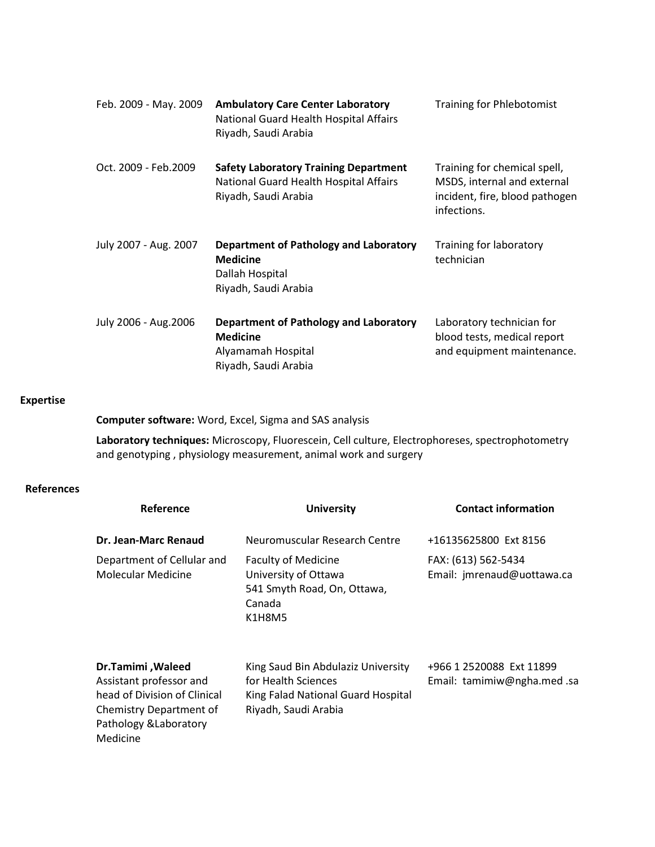| Feb. 2009 - May. 2009 | <b>Ambulatory Care Center Laboratory</b><br>National Guard Health Hospital Affairs<br>Riyadh, Saudi Arabia     | <b>Training for Phlebotomist</b>                                                                             |
|-----------------------|----------------------------------------------------------------------------------------------------------------|--------------------------------------------------------------------------------------------------------------|
| Oct. 2009 - Feb.2009  | <b>Safety Laboratory Training Department</b><br>National Guard Health Hospital Affairs<br>Riyadh, Saudi Arabia | Training for chemical spell,<br>MSDS, internal and external<br>incident, fire, blood pathogen<br>infections. |
| July 2007 - Aug. 2007 | <b>Department of Pathology and Laboratory</b><br><b>Medicine</b><br>Dallah Hospital<br>Riyadh, Saudi Arabia    | Training for laboratory<br>technician                                                                        |
| July 2006 - Aug. 2006 | <b>Department of Pathology and Laboratory</b><br><b>Medicine</b><br>Alyamamah Hospital<br>Riyadh, Saudi Arabia | Laboratory technician for<br>blood tests, medical report<br>and equipment maintenance.                       |

#### Expertise

Computer software: Word, Excel, Sigma and SAS analysis

Laboratory techniques: Microscopy, Fluorescein, Cell culture, Electrophoreses, spectrophotometry and genotyping , physiology measurement, animal work and surgery

#### References

| Reference                                                                                                                                     | <b>University</b>                                                                                                       | <b>Contact information</b>                             |
|-----------------------------------------------------------------------------------------------------------------------------------------------|-------------------------------------------------------------------------------------------------------------------------|--------------------------------------------------------|
| Dr. Jean-Marc Renaud                                                                                                                          | Neuromuscular Research Centre                                                                                           | +16135625800 Ext 8156                                  |
| Department of Cellular and<br>Molecular Medicine                                                                                              | <b>Faculty of Medicine</b><br>University of Ottawa<br>541 Smyth Road, On, Ottawa,<br>Canada<br>K1H8M5                   | FAX: (613) 562-5434<br>Email: jmrenaud@uottawa.ca      |
| Dr.Tamimi, Waleed<br>Assistant professor and<br>head of Division of Clinical<br>Chemistry Department of<br>Pathology & Laboratory<br>Medicine | King Saud Bin Abdulaziz University<br>for Health Sciences<br>King Falad National Guard Hospital<br>Riyadh, Saudi Arabia | +966 1 2520088 Ext 11899<br>Email: tamimiw@ngha.med.sa |